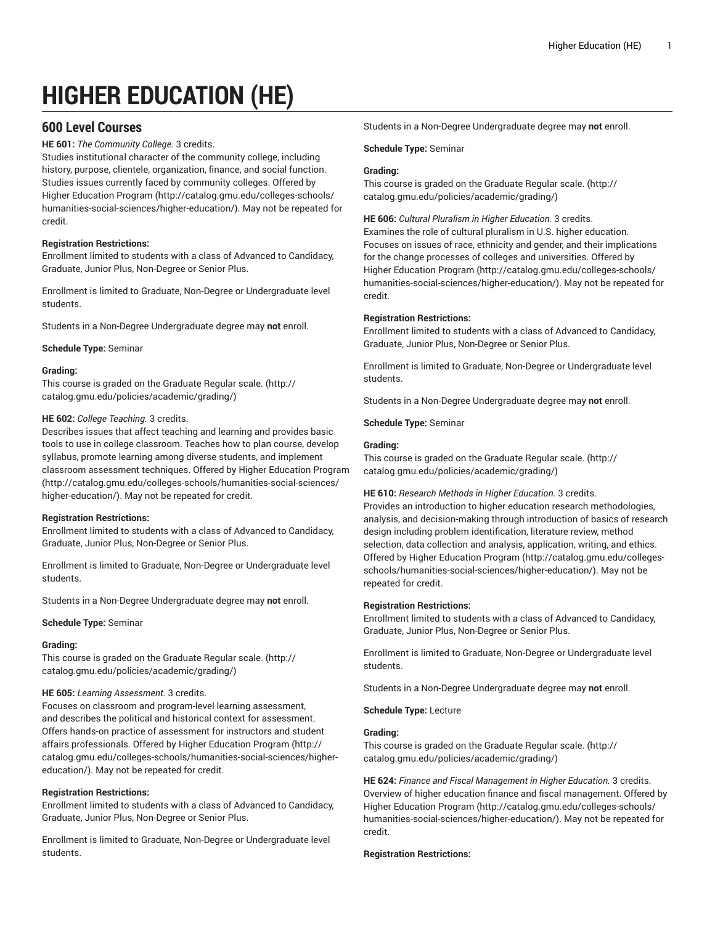# **HIGHER EDUCATION (HE)**

# **600 Level Courses**

**HE 601:** *The Community College.* 3 credits.

Studies institutional character of the community college, including history, purpose, clientele, organization, finance, and social function. Studies issues currently faced by community colleges. Offered by Higher [Education](http://catalog.gmu.edu/colleges-schools/humanities-social-sciences/higher-education/) Program ([http://catalog.gmu.edu/colleges-schools/](http://catalog.gmu.edu/colleges-schools/humanities-social-sciences/higher-education/) [humanities-social-sciences/higher-education/\)](http://catalog.gmu.edu/colleges-schools/humanities-social-sciences/higher-education/). May not be repeated for credit.

# **Registration Restrictions:**

Enrollment limited to students with a class of Advanced to Candidacy, Graduate, Junior Plus, Non-Degree or Senior Plus.

Enrollment is limited to Graduate, Non-Degree or Undergraduate level students.

Students in a Non-Degree Undergraduate degree may **not** enroll.

#### **Schedule Type:** Seminar

#### **Grading:**

This course is graded on the [Graduate Regular scale.](http://catalog.gmu.edu/policies/academic/grading/) [\(http://](http://catalog.gmu.edu/policies/academic/grading/) [catalog.gmu.edu/policies/academic/grading/\)](http://catalog.gmu.edu/policies/academic/grading/)

#### **HE 602:** *College Teaching.* 3 credits.

Describes issues that affect teaching and learning and provides basic tools to use in college classroom. Teaches how to plan course, develop syllabus, promote learning among diverse students, and implement classroom assessment techniques. Offered by Higher [Education](http://catalog.gmu.edu/colleges-schools/humanities-social-sciences/higher-education/) Program ([http://catalog.gmu.edu/colleges-schools/humanities-social-sciences/](http://catalog.gmu.edu/colleges-schools/humanities-social-sciences/higher-education/) [higher-education/\)](http://catalog.gmu.edu/colleges-schools/humanities-social-sciences/higher-education/). May not be repeated for credit.

#### **Registration Restrictions:**

Enrollment limited to students with a class of Advanced to Candidacy, Graduate, Junior Plus, Non-Degree or Senior Plus.

Enrollment is limited to Graduate, Non-Degree or Undergraduate level students.

Students in a Non-Degree Undergraduate degree may **not** enroll.

#### **Schedule Type:** Seminar

#### **Grading:**

This course is graded on the [Graduate Regular scale.](http://catalog.gmu.edu/policies/academic/grading/) [\(http://](http://catalog.gmu.edu/policies/academic/grading/) [catalog.gmu.edu/policies/academic/grading/\)](http://catalog.gmu.edu/policies/academic/grading/)

#### **HE 605:** *Learning Assessment.* 3 credits.

Focuses on classroom and program-level learning assessment, and describes the political and historical context for assessment. Offers hands-on practice of assessment for instructors and student affairs professionals. Offered by Higher [Education](http://catalog.gmu.edu/colleges-schools/humanities-social-sciences/higher-education/) Program ([http://](http://catalog.gmu.edu/colleges-schools/humanities-social-sciences/higher-education/) [catalog.gmu.edu/colleges-schools/humanities-social-sciences/higher](http://catalog.gmu.edu/colleges-schools/humanities-social-sciences/higher-education/)[education/](http://catalog.gmu.edu/colleges-schools/humanities-social-sciences/higher-education/)). May not be repeated for credit.

#### **Registration Restrictions:**

Enrollment limited to students with a class of Advanced to Candidacy, Graduate, Junior Plus, Non-Degree or Senior Plus.

Enrollment is limited to Graduate, Non-Degree or Undergraduate level students.

Students in a Non-Degree Undergraduate degree may **not** enroll.

#### **Schedule Type:** Seminar

## **Grading:**

This course is graded on the [Graduate Regular scale.](http://catalog.gmu.edu/policies/academic/grading/) ([http://](http://catalog.gmu.edu/policies/academic/grading/) [catalog.gmu.edu/policies/academic/grading/](http://catalog.gmu.edu/policies/academic/grading/))

**HE 606:** *Cultural Pluralism in Higher Education.* 3 credits. Examines the role of cultural pluralism in U.S. higher education. Focuses on issues of race, ethnicity and gender, and their implications for the change processes of colleges and universities. Offered by Higher [Education](http://catalog.gmu.edu/colleges-schools/humanities-social-sciences/higher-education/) Program ([http://catalog.gmu.edu/colleges-schools/](http://catalog.gmu.edu/colleges-schools/humanities-social-sciences/higher-education/) [humanities-social-sciences/higher-education/](http://catalog.gmu.edu/colleges-schools/humanities-social-sciences/higher-education/)). May not be repeated for credit.

#### **Registration Restrictions:**

Enrollment limited to students with a class of Advanced to Candidacy, Graduate, Junior Plus, Non-Degree or Senior Plus.

Enrollment is limited to Graduate, Non-Degree or Undergraduate level students.

Students in a Non-Degree Undergraduate degree may **not** enroll.

**Schedule Type:** Seminar

#### **Grading:**

This course is graded on the [Graduate Regular scale.](http://catalog.gmu.edu/policies/academic/grading/) ([http://](http://catalog.gmu.edu/policies/academic/grading/) [catalog.gmu.edu/policies/academic/grading/](http://catalog.gmu.edu/policies/academic/grading/))

#### **HE 610:** *Research Methods in Higher Education.* 3 credits.

Provides an introduction to higher education research methodologies, analysis, and decision-making through introduction of basics of research design including problem identification, literature review, method selection, data collection and analysis, application, writing, and ethics. Offered by Higher [Education](http://catalog.gmu.edu/colleges-schools/humanities-social-sciences/higher-education/) Program ([http://catalog.gmu.edu/colleges](http://catalog.gmu.edu/colleges-schools/humanities-social-sciences/higher-education/)[schools/humanities-social-sciences/higher-education/\)](http://catalog.gmu.edu/colleges-schools/humanities-social-sciences/higher-education/). May not be repeated for credit.

#### **Registration Restrictions:**

Enrollment limited to students with a class of Advanced to Candidacy, Graduate, Junior Plus, Non-Degree or Senior Plus.

Enrollment is limited to Graduate, Non-Degree or Undergraduate level students.

Students in a Non-Degree Undergraduate degree may **not** enroll.

**Schedule Type:** Lecture

#### **Grading:**

This course is graded on the [Graduate Regular scale.](http://catalog.gmu.edu/policies/academic/grading/) ([http://](http://catalog.gmu.edu/policies/academic/grading/) [catalog.gmu.edu/policies/academic/grading/](http://catalog.gmu.edu/policies/academic/grading/))

**HE 624:** *Finance and Fiscal Management in Higher Education.* 3 credits. Overview of higher education finance and fiscal management. Offered by Higher [Education](http://catalog.gmu.edu/colleges-schools/humanities-social-sciences/higher-education/) Program ([http://catalog.gmu.edu/colleges-schools/](http://catalog.gmu.edu/colleges-schools/humanities-social-sciences/higher-education/) [humanities-social-sciences/higher-education/](http://catalog.gmu.edu/colleges-schools/humanities-social-sciences/higher-education/)). May not be repeated for credit.

#### **Registration Restrictions:**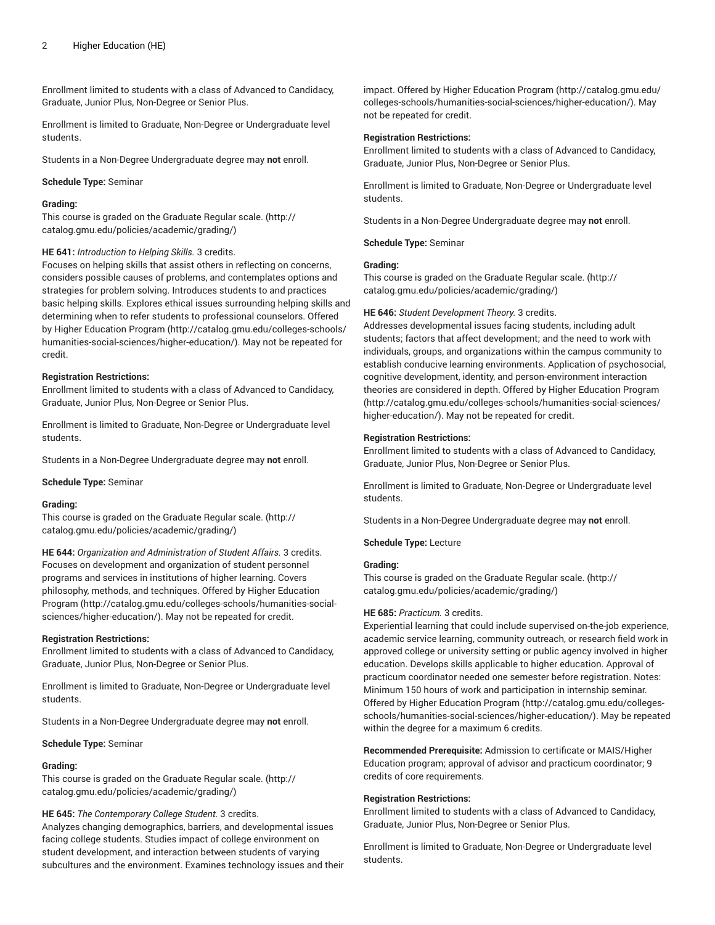Enrollment limited to students with a class of Advanced to Candidacy, Graduate, Junior Plus, Non-Degree or Senior Plus.

Enrollment is limited to Graduate, Non-Degree or Undergraduate level students.

Students in a Non-Degree Undergraduate degree may **not** enroll.

#### **Schedule Type:** Seminar

#### **Grading:**

This course is graded on the [Graduate Regular scale.](http://catalog.gmu.edu/policies/academic/grading/) [\(http://](http://catalog.gmu.edu/policies/academic/grading/) [catalog.gmu.edu/policies/academic/grading/\)](http://catalog.gmu.edu/policies/academic/grading/)

#### **HE 641:** *Introduction to Helping Skills.* 3 credits.

Focuses on helping skills that assist others in reflecting on concerns, considers possible causes of problems, and contemplates options and strategies for problem solving. Introduces students to and practices basic helping skills. Explores ethical issues surrounding helping skills and determining when to refer students to professional counselors. Offered by Higher [Education](http://catalog.gmu.edu/colleges-schools/humanities-social-sciences/higher-education/) Program [\(http://catalog.gmu.edu/colleges-schools/](http://catalog.gmu.edu/colleges-schools/humanities-social-sciences/higher-education/) [humanities-social-sciences/higher-education/\)](http://catalog.gmu.edu/colleges-schools/humanities-social-sciences/higher-education/). May not be repeated for credit.

#### **Registration Restrictions:**

Enrollment limited to students with a class of Advanced to Candidacy, Graduate, Junior Plus, Non-Degree or Senior Plus.

Enrollment is limited to Graduate, Non-Degree or Undergraduate level students.

Students in a Non-Degree Undergraduate degree may **not** enroll.

**Schedule Type:** Seminar

#### **Grading:**

This course is graded on the [Graduate Regular scale.](http://catalog.gmu.edu/policies/academic/grading/) [\(http://](http://catalog.gmu.edu/policies/academic/grading/) [catalog.gmu.edu/policies/academic/grading/\)](http://catalog.gmu.edu/policies/academic/grading/)

**HE 644:** *Organization and Administration of Student Affairs.* 3 credits. Focuses on development and organization of student personnel programs and services in institutions of higher learning. Covers philosophy, methods, and techniques. Offered by Higher [Education](http://catalog.gmu.edu/colleges-schools/humanities-social-sciences/higher-education/) [Program](http://catalog.gmu.edu/colleges-schools/humanities-social-sciences/higher-education/) ([http://catalog.gmu.edu/colleges-schools/humanities-social](http://catalog.gmu.edu/colleges-schools/humanities-social-sciences/higher-education/)[sciences/higher-education/](http://catalog.gmu.edu/colleges-schools/humanities-social-sciences/higher-education/)). May not be repeated for credit.

#### **Registration Restrictions:**

Enrollment limited to students with a class of Advanced to Candidacy, Graduate, Junior Plus, Non-Degree or Senior Plus.

Enrollment is limited to Graduate, Non-Degree or Undergraduate level students.

Students in a Non-Degree Undergraduate degree may **not** enroll.

**Schedule Type:** Seminar

#### **Grading:**

This course is graded on the [Graduate Regular scale.](http://catalog.gmu.edu/policies/academic/grading/) [\(http://](http://catalog.gmu.edu/policies/academic/grading/) [catalog.gmu.edu/policies/academic/grading/\)](http://catalog.gmu.edu/policies/academic/grading/)

#### **HE 645:** *The Contemporary College Student.* 3 credits.

Analyzes changing demographics, barriers, and developmental issues facing college students. Studies impact of college environment on student development, and interaction between students of varying subcultures and the environment. Examines technology issues and their impact. Offered by Higher [Education](http://catalog.gmu.edu/colleges-schools/humanities-social-sciences/higher-education/) Program [\(http://catalog.gmu.edu/](http://catalog.gmu.edu/colleges-schools/humanities-social-sciences/higher-education/) [colleges-schools/humanities-social-sciences/higher-education/](http://catalog.gmu.edu/colleges-schools/humanities-social-sciences/higher-education/)). May not be repeated for credit.

#### **Registration Restrictions:**

Enrollment limited to students with a class of Advanced to Candidacy, Graduate, Junior Plus, Non-Degree or Senior Plus.

Enrollment is limited to Graduate, Non-Degree or Undergraduate level students.

Students in a Non-Degree Undergraduate degree may **not** enroll.

**Schedule Type:** Seminar

#### **Grading:**

This course is graded on the [Graduate Regular scale.](http://catalog.gmu.edu/policies/academic/grading/) ([http://](http://catalog.gmu.edu/policies/academic/grading/) [catalog.gmu.edu/policies/academic/grading/](http://catalog.gmu.edu/policies/academic/grading/))

#### **HE 646:** *Student Development Theory.* 3 credits.

Addresses developmental issues facing students, including adult students; factors that affect development; and the need to work with individuals, groups, and organizations within the campus community to establish conducive learning environments. Application of psychosocial, cognitive development, identity, and person-environment interaction theories are considered in depth. Offered by Higher [Education](http://catalog.gmu.edu/colleges-schools/humanities-social-sciences/higher-education/) Program [\(http://catalog.gmu.edu/colleges-schools/humanities-social-sciences/](http://catalog.gmu.edu/colleges-schools/humanities-social-sciences/higher-education/) [higher-education/](http://catalog.gmu.edu/colleges-schools/humanities-social-sciences/higher-education/)). May not be repeated for credit.

#### **Registration Restrictions:**

Enrollment limited to students with a class of Advanced to Candidacy, Graduate, Junior Plus, Non-Degree or Senior Plus.

Enrollment is limited to Graduate, Non-Degree or Undergraduate level students.

Students in a Non-Degree Undergraduate degree may **not** enroll.

**Schedule Type:** Lecture

# **Grading:**

This course is graded on the [Graduate Regular scale.](http://catalog.gmu.edu/policies/academic/grading/) ([http://](http://catalog.gmu.edu/policies/academic/grading/) [catalog.gmu.edu/policies/academic/grading/](http://catalog.gmu.edu/policies/academic/grading/))

#### **HE 685:** *Practicum.* 3 credits.

Experiential learning that could include supervised on-the-job experience, academic service learning, community outreach, or research field work in approved college or university setting or public agency involved in higher education. Develops skills applicable to higher education. Approval of practicum coordinator needed one semester before registration. Notes: Minimum 150 hours of work and participation in internship seminar. Offered by Higher [Education](http://catalog.gmu.edu/colleges-schools/humanities-social-sciences/higher-education/) Program ([http://catalog.gmu.edu/colleges](http://catalog.gmu.edu/colleges-schools/humanities-social-sciences/higher-education/)[schools/humanities-social-sciences/higher-education/\)](http://catalog.gmu.edu/colleges-schools/humanities-social-sciences/higher-education/). May be repeated within the degree for a maximum 6 credits.

**Recommended Prerequisite:** Admission to certificate or MAIS/Higher Education program; approval of advisor and practicum coordinator; 9 credits of core requirements.

#### **Registration Restrictions:**

Enrollment limited to students with a class of Advanced to Candidacy, Graduate, Junior Plus, Non-Degree or Senior Plus.

Enrollment is limited to Graduate, Non-Degree or Undergraduate level students.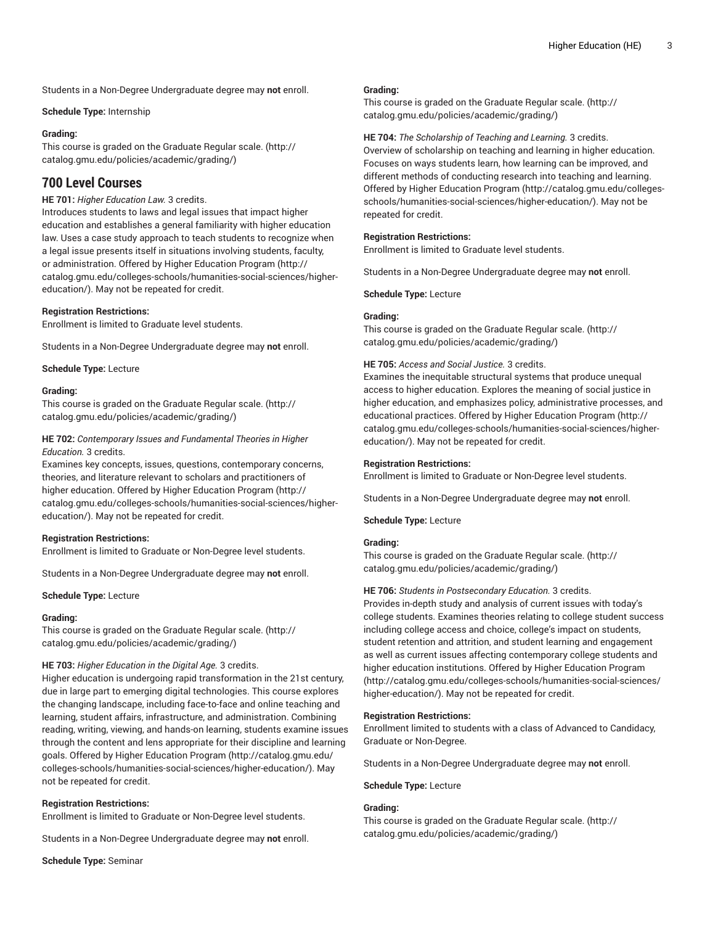Students in a Non-Degree Undergraduate degree may **not** enroll.

#### **Schedule Type:** Internship

#### **Grading:**

This course is graded on the [Graduate Regular scale.](http://catalog.gmu.edu/policies/academic/grading/) [\(http://](http://catalog.gmu.edu/policies/academic/grading/) [catalog.gmu.edu/policies/academic/grading/\)](http://catalog.gmu.edu/policies/academic/grading/)

# **700 Level Courses**

# **HE 701:** *Higher Education Law.* 3 credits.

Introduces students to laws and legal issues that impact higher education and establishes a general familiarity with higher education law. Uses a case study approach to teach students to recognize when a legal issue presents itself in situations involving students, faculty, or administration. Offered by Higher [Education](http://catalog.gmu.edu/colleges-schools/humanities-social-sciences/higher-education/) Program [\(http://](http://catalog.gmu.edu/colleges-schools/humanities-social-sciences/higher-education/) [catalog.gmu.edu/colleges-schools/humanities-social-sciences/higher](http://catalog.gmu.edu/colleges-schools/humanities-social-sciences/higher-education/)[education/](http://catalog.gmu.edu/colleges-schools/humanities-social-sciences/higher-education/)). May not be repeated for credit.

#### **Registration Restrictions:**

Enrollment is limited to Graduate level students.

Students in a Non-Degree Undergraduate degree may **not** enroll.

**Schedule Type:** Lecture

#### **Grading:**

This course is graded on the [Graduate Regular scale.](http://catalog.gmu.edu/policies/academic/grading/) [\(http://](http://catalog.gmu.edu/policies/academic/grading/) [catalog.gmu.edu/policies/academic/grading/\)](http://catalog.gmu.edu/policies/academic/grading/)

#### **HE 702:** *Contemporary Issues and Fundamental Theories in Higher Education.* 3 credits.

Examines key concepts, issues, questions, contemporary concerns, theories, and literature relevant to scholars and practitioners of higher education. Offered by Higher [Education](http://catalog.gmu.edu/colleges-schools/humanities-social-sciences/higher-education/) Program [\(http://](http://catalog.gmu.edu/colleges-schools/humanities-social-sciences/higher-education/) [catalog.gmu.edu/colleges-schools/humanities-social-sciences/higher](http://catalog.gmu.edu/colleges-schools/humanities-social-sciences/higher-education/)[education/](http://catalog.gmu.edu/colleges-schools/humanities-social-sciences/higher-education/)). May not be repeated for credit.

#### **Registration Restrictions:**

Enrollment is limited to Graduate or Non-Degree level students.

Students in a Non-Degree Undergraduate degree may **not** enroll.

#### **Schedule Type:** Lecture

#### **Grading:**

This course is graded on the [Graduate Regular scale.](http://catalog.gmu.edu/policies/academic/grading/) [\(http://](http://catalog.gmu.edu/policies/academic/grading/) [catalog.gmu.edu/policies/academic/grading/\)](http://catalog.gmu.edu/policies/academic/grading/)

#### **HE 703:** *Higher Education in the Digital Age.* 3 credits.

Higher education is undergoing rapid transformation in the 21st century, due in large part to emerging digital technologies. This course explores the changing landscape, including face-to-face and online teaching and learning, student affairs, infrastructure, and administration. Combining reading, writing, viewing, and hands-on learning, students examine issues through the content and lens appropriate for their discipline and learning goals. Offered by Higher [Education](http://catalog.gmu.edu/colleges-schools/humanities-social-sciences/higher-education/) Program [\(http://catalog.gmu.edu/](http://catalog.gmu.edu/colleges-schools/humanities-social-sciences/higher-education/) [colleges-schools/humanities-social-sciences/higher-education/\)](http://catalog.gmu.edu/colleges-schools/humanities-social-sciences/higher-education/). May not be repeated for credit.

#### **Registration Restrictions:**

Enrollment is limited to Graduate or Non-Degree level students.

Students in a Non-Degree Undergraduate degree may **not** enroll.

**Schedule Type:** Seminar

#### **Grading:**

This course is graded on the [Graduate Regular scale.](http://catalog.gmu.edu/policies/academic/grading/) ([http://](http://catalog.gmu.edu/policies/academic/grading/) [catalog.gmu.edu/policies/academic/grading/](http://catalog.gmu.edu/policies/academic/grading/))

# **HE 704:** *The Scholarship of Teaching and Learning.* 3 credits.

Overview of scholarship on teaching and learning in higher education. Focuses on ways students learn, how learning can be improved, and different methods of conducting research into teaching and learning. Offered by Higher [Education](http://catalog.gmu.edu/colleges-schools/humanities-social-sciences/higher-education/) Program ([http://catalog.gmu.edu/colleges](http://catalog.gmu.edu/colleges-schools/humanities-social-sciences/higher-education/)[schools/humanities-social-sciences/higher-education/\)](http://catalog.gmu.edu/colleges-schools/humanities-social-sciences/higher-education/). May not be repeated for credit.

#### **Registration Restrictions:**

Enrollment is limited to Graduate level students.

Students in a Non-Degree Undergraduate degree may **not** enroll.

**Schedule Type:** Lecture

#### **Grading:**

This course is graded on the [Graduate Regular scale.](http://catalog.gmu.edu/policies/academic/grading/) ([http://](http://catalog.gmu.edu/policies/academic/grading/) [catalog.gmu.edu/policies/academic/grading/](http://catalog.gmu.edu/policies/academic/grading/))

# **HE 705:** *Access and Social Justice.* 3 credits.

Examines the inequitable structural systems that produce unequal access to higher education. Explores the meaning of social justice in higher education, and emphasizes policy, administrative processes, and educational practices. Offered by Higher [Education](http://catalog.gmu.edu/colleges-schools/humanities-social-sciences/higher-education/) Program ([http://](http://catalog.gmu.edu/colleges-schools/humanities-social-sciences/higher-education/) [catalog.gmu.edu/colleges-schools/humanities-social-sciences/higher](http://catalog.gmu.edu/colleges-schools/humanities-social-sciences/higher-education/)[education/\)](http://catalog.gmu.edu/colleges-schools/humanities-social-sciences/higher-education/). May not be repeated for credit.

# **Registration Restrictions:**

Enrollment is limited to Graduate or Non-Degree level students.

Students in a Non-Degree Undergraduate degree may **not** enroll.

**Schedule Type:** Lecture

#### **Grading:**

This course is graded on the [Graduate Regular scale.](http://catalog.gmu.edu/policies/academic/grading/) ([http://](http://catalog.gmu.edu/policies/academic/grading/) [catalog.gmu.edu/policies/academic/grading/](http://catalog.gmu.edu/policies/academic/grading/))

#### **HE 706:** *Students in Postsecondary Education.* 3 credits.

Provides in-depth study and analysis of current issues with today's college students. Examines theories relating to college student success including college access and choice, college's impact on students, student retention and attrition, and student learning and engagement as well as current issues affecting contemporary college students and higher education institutions. Offered by Higher [Education](http://catalog.gmu.edu/colleges-schools/humanities-social-sciences/higher-education/) Program [\(http://catalog.gmu.edu/colleges-schools/humanities-social-sciences/](http://catalog.gmu.edu/colleges-schools/humanities-social-sciences/higher-education/) [higher-education/](http://catalog.gmu.edu/colleges-schools/humanities-social-sciences/higher-education/)). May not be repeated for credit.

#### **Registration Restrictions:**

Enrollment limited to students with a class of Advanced to Candidacy, Graduate or Non-Degree.

Students in a Non-Degree Undergraduate degree may **not** enroll.

#### **Schedule Type:** Lecture

## **Grading:**

This course is graded on the [Graduate Regular scale.](http://catalog.gmu.edu/policies/academic/grading/) ([http://](http://catalog.gmu.edu/policies/academic/grading/) [catalog.gmu.edu/policies/academic/grading/](http://catalog.gmu.edu/policies/academic/grading/))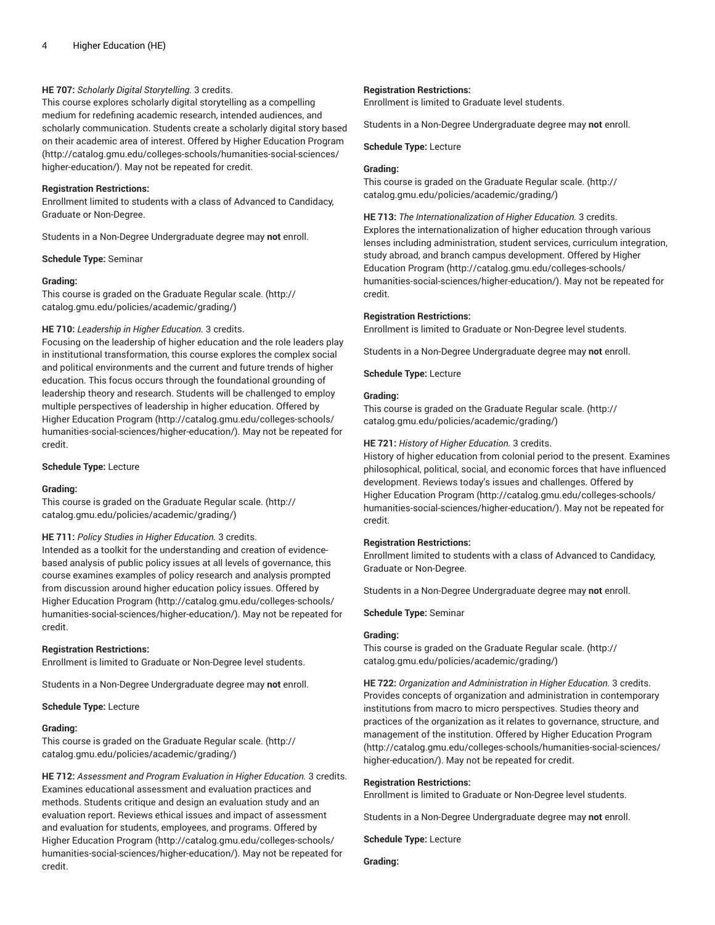# **HE 707:** *Scholarly Digital Storytelling.* 3 credits.

This course explores scholarly digital storytelling as a compelling medium for redefining academic research, intended audiences, and scholarly communication. Students create a scholarly digital story based on their academic area of interest. Offered by Higher [Education](http://catalog.gmu.edu/colleges-schools/humanities-social-sciences/higher-education/) Program ([http://catalog.gmu.edu/colleges-schools/humanities-social-sciences/](http://catalog.gmu.edu/colleges-schools/humanities-social-sciences/higher-education/) [higher-education/\)](http://catalog.gmu.edu/colleges-schools/humanities-social-sciences/higher-education/). May not be repeated for credit.

#### **Registration Restrictions:**

Enrollment limited to students with a class of Advanced to Candidacy, Graduate or Non-Degree.

Students in a Non-Degree Undergraduate degree may **not** enroll.

**Schedule Type:** Seminar

#### **Grading:**

This course is graded on the [Graduate Regular scale.](http://catalog.gmu.edu/policies/academic/grading/) [\(http://](http://catalog.gmu.edu/policies/academic/grading/) [catalog.gmu.edu/policies/academic/grading/\)](http://catalog.gmu.edu/policies/academic/grading/)

#### **HE 710:** *Leadership in Higher Education.* 3 credits.

Focusing on the leadership of higher education and the role leaders play in institutional transformation, this course explores the complex social and political environments and the current and future trends of higher education. This focus occurs through the foundational grounding of leadership theory and research. Students will be challenged to employ multiple perspectives of leadership in higher education. Offered by Higher [Education](http://catalog.gmu.edu/colleges-schools/humanities-social-sciences/higher-education/) Program ([http://catalog.gmu.edu/colleges-schools/](http://catalog.gmu.edu/colleges-schools/humanities-social-sciences/higher-education/) [humanities-social-sciences/higher-education/\)](http://catalog.gmu.edu/colleges-schools/humanities-social-sciences/higher-education/). May not be repeated for credit.

#### **Schedule Type:** Lecture

#### **Grading:**

This course is graded on the [Graduate Regular scale.](http://catalog.gmu.edu/policies/academic/grading/) [\(http://](http://catalog.gmu.edu/policies/academic/grading/) [catalog.gmu.edu/policies/academic/grading/\)](http://catalog.gmu.edu/policies/academic/grading/)

#### **HE 711:** *Policy Studies in Higher Education.* 3 credits.

Intended as a toolkit for the understanding and creation of evidencebased analysis of public policy issues at all levels of governance, this course examines examples of policy research and analysis prompted from discussion around higher education policy issues. Offered by Higher [Education](http://catalog.gmu.edu/colleges-schools/humanities-social-sciences/higher-education/) Program ([http://catalog.gmu.edu/colleges-schools/](http://catalog.gmu.edu/colleges-schools/humanities-social-sciences/higher-education/) [humanities-social-sciences/higher-education/\)](http://catalog.gmu.edu/colleges-schools/humanities-social-sciences/higher-education/). May not be repeated for credit.

#### **Registration Restrictions:**

Enrollment is limited to Graduate or Non-Degree level students.

Students in a Non-Degree Undergraduate degree may **not** enroll.

**Schedule Type:** Lecture

#### **Grading:**

This course is graded on the [Graduate Regular scale.](http://catalog.gmu.edu/policies/academic/grading/) [\(http://](http://catalog.gmu.edu/policies/academic/grading/) [catalog.gmu.edu/policies/academic/grading/\)](http://catalog.gmu.edu/policies/academic/grading/)

**HE 712:** *Assessment and Program Evaluation in Higher Education.* 3 credits. Examines educational assessment and evaluation practices and methods. Students critique and design an evaluation study and an evaluation report. Reviews ethical issues and impact of assessment and evaluation for students, employees, and programs. Offered by Higher [Education](http://catalog.gmu.edu/colleges-schools/humanities-social-sciences/higher-education/) Program ([http://catalog.gmu.edu/colleges-schools/](http://catalog.gmu.edu/colleges-schools/humanities-social-sciences/higher-education/) [humanities-social-sciences/higher-education/\)](http://catalog.gmu.edu/colleges-schools/humanities-social-sciences/higher-education/). May not be repeated for credit.

#### **Registration Restrictions:**

Enrollment is limited to Graduate level students.

Students in a Non-Degree Undergraduate degree may **not** enroll.

**Schedule Type:** Lecture

#### **Grading:**

This course is graded on the [Graduate Regular scale.](http://catalog.gmu.edu/policies/academic/grading/) ([http://](http://catalog.gmu.edu/policies/academic/grading/) [catalog.gmu.edu/policies/academic/grading/](http://catalog.gmu.edu/policies/academic/grading/))

**HE 713:** *The Internationalization of Higher Education.* 3 credits. Explores the internationalization of higher education through various lenses including administration, student services, curriculum integration, study abroad, and branch campus development. Offered by [Higher](http://catalog.gmu.edu/colleges-schools/humanities-social-sciences/higher-education/) [Education](http://catalog.gmu.edu/colleges-schools/humanities-social-sciences/higher-education/) Program [\(http://catalog.gmu.edu/colleges-schools/](http://catalog.gmu.edu/colleges-schools/humanities-social-sciences/higher-education/) [humanities-social-sciences/higher-education/](http://catalog.gmu.edu/colleges-schools/humanities-social-sciences/higher-education/)). May not be repeated for credit.

#### **Registration Restrictions:**

Enrollment is limited to Graduate or Non-Degree level students.

Students in a Non-Degree Undergraduate degree may **not** enroll.

**Schedule Type:** Lecture

#### **Grading:**

This course is graded on the [Graduate Regular scale.](http://catalog.gmu.edu/policies/academic/grading/) ([http://](http://catalog.gmu.edu/policies/academic/grading/) [catalog.gmu.edu/policies/academic/grading/](http://catalog.gmu.edu/policies/academic/grading/))

#### **HE 721:** *History of Higher Education.* 3 credits.

History of higher education from colonial period to the present. Examines philosophical, political, social, and economic forces that have influenced development. Reviews today's issues and challenges. Offered by Higher [Education](http://catalog.gmu.edu/colleges-schools/humanities-social-sciences/higher-education/) Program ([http://catalog.gmu.edu/colleges-schools/](http://catalog.gmu.edu/colleges-schools/humanities-social-sciences/higher-education/) [humanities-social-sciences/higher-education/](http://catalog.gmu.edu/colleges-schools/humanities-social-sciences/higher-education/)). May not be repeated for credit.

#### **Registration Restrictions:**

Enrollment limited to students with a class of Advanced to Candidacy, Graduate or Non-Degree.

Students in a Non-Degree Undergraduate degree may **not** enroll.

**Schedule Type:** Seminar

#### **Grading:**

This course is graded on the [Graduate Regular scale.](http://catalog.gmu.edu/policies/academic/grading/) ([http://](http://catalog.gmu.edu/policies/academic/grading/) [catalog.gmu.edu/policies/academic/grading/](http://catalog.gmu.edu/policies/academic/grading/))

**HE 722:** *Organization and Administration in Higher Education.* 3 credits. Provides concepts of organization and administration in contemporary institutions from macro to micro perspectives. Studies theory and practices of the organization as it relates to governance, structure, and management of the institution. Offered by Higher [Education](http://catalog.gmu.edu/colleges-schools/humanities-social-sciences/higher-education/) Program [\(http://catalog.gmu.edu/colleges-schools/humanities-social-sciences/](http://catalog.gmu.edu/colleges-schools/humanities-social-sciences/higher-education/) [higher-education/](http://catalog.gmu.edu/colleges-schools/humanities-social-sciences/higher-education/)). May not be repeated for credit.

#### **Registration Restrictions:**

Enrollment is limited to Graduate or Non-Degree level students.

Students in a Non-Degree Undergraduate degree may **not** enroll.

**Schedule Type:** Lecture

**Grading:**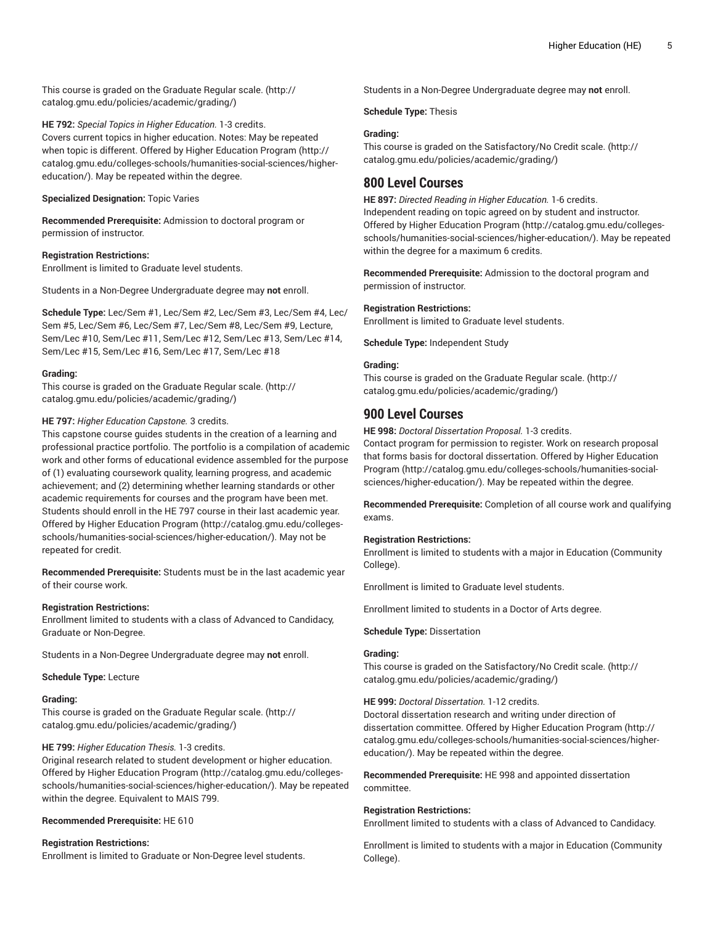This course is graded on the [Graduate Regular scale.](http://catalog.gmu.edu/policies/academic/grading/) [\(http://](http://catalog.gmu.edu/policies/academic/grading/) [catalog.gmu.edu/policies/academic/grading/\)](http://catalog.gmu.edu/policies/academic/grading/)

**HE 792:** *Special Topics in Higher Education.* 1-3 credits. Covers current topics in higher education. Notes: May be repeated when topic is different. Offered by Higher [Education](http://catalog.gmu.edu/colleges-schools/humanities-social-sciences/higher-education/) Program ([http://](http://catalog.gmu.edu/colleges-schools/humanities-social-sciences/higher-education/) [catalog.gmu.edu/colleges-schools/humanities-social-sciences/higher](http://catalog.gmu.edu/colleges-schools/humanities-social-sciences/higher-education/)[education/](http://catalog.gmu.edu/colleges-schools/humanities-social-sciences/higher-education/)). May be repeated within the degree.

**Specialized Designation:** Topic Varies

**Recommended Prerequisite:** Admission to doctoral program or permission of instructor.

## **Registration Restrictions:**

Enrollment is limited to Graduate level students.

Students in a Non-Degree Undergraduate degree may **not** enroll.

**Schedule Type:** Lec/Sem #1, Lec/Sem #2, Lec/Sem #3, Lec/Sem #4, Lec/ Sem #5, Lec/Sem #6, Lec/Sem #7, Lec/Sem #8, Lec/Sem #9, Lecture, Sem/Lec #10, Sem/Lec #11, Sem/Lec #12, Sem/Lec #13, Sem/Lec #14, Sem/Lec #15, Sem/Lec #16, Sem/Lec #17, Sem/Lec #18

#### **Grading:**

This course is graded on the [Graduate Regular scale.](http://catalog.gmu.edu/policies/academic/grading/) [\(http://](http://catalog.gmu.edu/policies/academic/grading/) [catalog.gmu.edu/policies/academic/grading/\)](http://catalog.gmu.edu/policies/academic/grading/)

#### **HE 797:** *Higher Education Capstone.* 3 credits.

This capstone course guides students in the creation of a learning and professional practice portfolio. The portfolio is a compilation of academic work and other forms of educational evidence assembled for the purpose of (1) evaluating coursework quality, learning progress, and academic achievement; and (2) determining whether learning standards or other academic requirements for courses and the program have been met. Students should enroll in the HE 797 course in their last academic year. Offered by Higher [Education](http://catalog.gmu.edu/colleges-schools/humanities-social-sciences/higher-education/) Program ([http://catalog.gmu.edu/colleges](http://catalog.gmu.edu/colleges-schools/humanities-social-sciences/higher-education/)[schools/humanities-social-sciences/higher-education/\)](http://catalog.gmu.edu/colleges-schools/humanities-social-sciences/higher-education/). May not be repeated for credit.

**Recommended Prerequisite:** Students must be in the last academic year of their course work.

#### **Registration Restrictions:**

Enrollment limited to students with a class of Advanced to Candidacy, Graduate or Non-Degree.

Students in a Non-Degree Undergraduate degree may **not** enroll.

#### **Schedule Type:** Lecture

#### **Grading:**

This course is graded on the [Graduate Regular scale.](http://catalog.gmu.edu/policies/academic/grading/) [\(http://](http://catalog.gmu.edu/policies/academic/grading/) [catalog.gmu.edu/policies/academic/grading/\)](http://catalog.gmu.edu/policies/academic/grading/)

#### **HE 799:** *Higher Education Thesis.* 1-3 credits.

Original research related to student development or higher education. Offered by Higher [Education](http://catalog.gmu.edu/colleges-schools/humanities-social-sciences/higher-education/) Program ([http://catalog.gmu.edu/colleges](http://catalog.gmu.edu/colleges-schools/humanities-social-sciences/higher-education/)[schools/humanities-social-sciences/higher-education/\)](http://catalog.gmu.edu/colleges-schools/humanities-social-sciences/higher-education/). May be repeated within the degree. Equivalent to MAIS 799.

## **Recommended Prerequisite:** HE 610

#### **Registration Restrictions:**

Enrollment is limited to Graduate or Non-Degree level students.

Students in a Non-Degree Undergraduate degree may **not** enroll.

**Schedule Type:** Thesis

# **Grading:**

This course is graded on the [Satisfactory/No](http://catalog.gmu.edu/policies/academic/grading/) Credit scale. [\(http://](http://catalog.gmu.edu/policies/academic/grading/) [catalog.gmu.edu/policies/academic/grading/](http://catalog.gmu.edu/policies/academic/grading/))

# **800 Level Courses**

**HE 897:** *Directed Reading in Higher Education.* 1-6 credits. Independent reading on topic agreed on by student and instructor. Offered by Higher [Education](http://catalog.gmu.edu/colleges-schools/humanities-social-sciences/higher-education/) Program ([http://catalog.gmu.edu/colleges](http://catalog.gmu.edu/colleges-schools/humanities-social-sciences/higher-education/)[schools/humanities-social-sciences/higher-education/\)](http://catalog.gmu.edu/colleges-schools/humanities-social-sciences/higher-education/). May be repeated within the degree for a maximum 6 credits.

**Recommended Prerequisite:** Admission to the doctoral program and permission of instructor.

# **Registration Restrictions:**

Enrollment is limited to Graduate level students.

**Schedule Type:** Independent Study

#### **Grading:**

This course is graded on the [Graduate Regular scale.](http://catalog.gmu.edu/policies/academic/grading/) ([http://](http://catalog.gmu.edu/policies/academic/grading/) [catalog.gmu.edu/policies/academic/grading/](http://catalog.gmu.edu/policies/academic/grading/))

# **900 Level Courses**

**HE 998:** *Doctoral Dissertation Proposal.* 1-3 credits. Contact program for permission to register. Work on research proposal that forms basis for doctoral dissertation. Offered by Higher [Education](http://catalog.gmu.edu/colleges-schools/humanities-social-sciences/higher-education/) [Program](http://catalog.gmu.edu/colleges-schools/humanities-social-sciences/higher-education/) [\(http://catalog.gmu.edu/colleges-schools/humanities-social](http://catalog.gmu.edu/colleges-schools/humanities-social-sciences/higher-education/)[sciences/higher-education/](http://catalog.gmu.edu/colleges-schools/humanities-social-sciences/higher-education/)). May be repeated within the degree.

**Recommended Prerequisite:** Completion of all course work and qualifying exams.

#### **Registration Restrictions:**

Enrollment is limited to students with a major in Education (Community College).

Enrollment is limited to Graduate level students.

Enrollment limited to students in a Doctor of Arts degree.

#### **Schedule Type:** Dissertation

# **Grading:**

This course is graded on the [Satisfactory/No](http://catalog.gmu.edu/policies/academic/grading/) Credit scale. [\(http://](http://catalog.gmu.edu/policies/academic/grading/) [catalog.gmu.edu/policies/academic/grading/](http://catalog.gmu.edu/policies/academic/grading/))

#### **HE 999:** *Doctoral Dissertation.* 1-12 credits.

Doctoral dissertation research and writing under direction of dissertation committee. Offered by Higher [Education](http://catalog.gmu.edu/colleges-schools/humanities-social-sciences/higher-education/) Program ([http://](http://catalog.gmu.edu/colleges-schools/humanities-social-sciences/higher-education/) [catalog.gmu.edu/colleges-schools/humanities-social-sciences/higher](http://catalog.gmu.edu/colleges-schools/humanities-social-sciences/higher-education/)[education/\)](http://catalog.gmu.edu/colleges-schools/humanities-social-sciences/higher-education/). May be repeated within the degree.

**Recommended Prerequisite:** HE 998 and appointed dissertation committee.

# **Registration Restrictions:**

Enrollment limited to students with a class of Advanced to Candidacy.

Enrollment is limited to students with a major in Education (Community College).